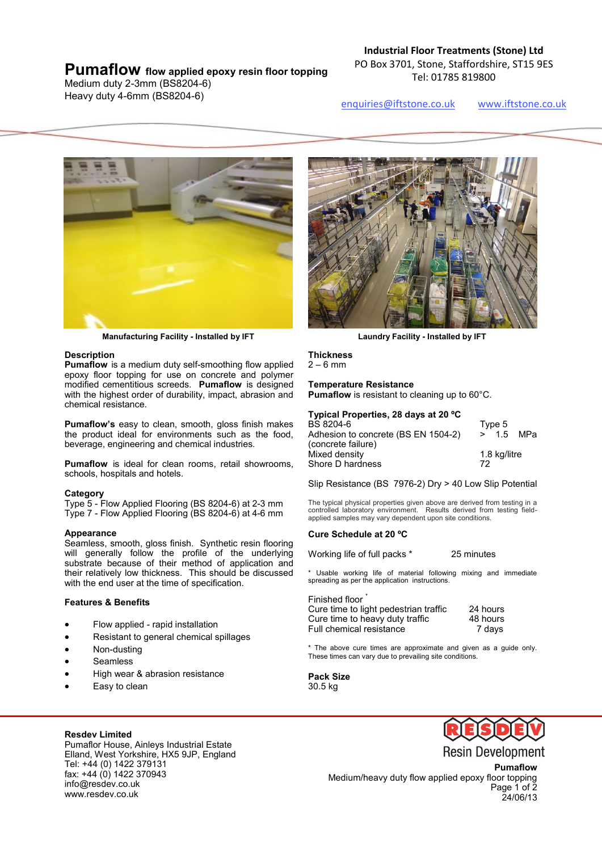# **Pumaflow flow applied epoxy resin floor topping**

Medium duty 2-3mm (BS8204-6) Heavy duty 4-6mm (BS8204-6)

# **Industrial Floor Treatments (Stone) Ltd** PO Box 3701, Stone, Staffordshire, ST15 9ES Tel: 01785 819800

enquiries@iftstone.co.uk www.iftstone.co.uk



**Manufacturing Facility - Installed by IFT Laundry Facility - Installed by IFT**

## **Description**

**Pumaflow** is a medium duty self-smoothing flow applied epoxy floor topping for use on concrete and polymer modified cementitious screeds. **Pumaflow** is designed with the highest order of durability, impact, abrasion and chemical resistance.

**Pumaflow's** easy to clean, smooth, gloss finish makes the product ideal for environments such as the food, beverage, engineering and chemical industries.

**Pumaflow** is ideal for clean rooms, retail showrooms, schools, hospitals and hotels.

# **Category**

Type 5 - Flow Applied Flooring (BS 8204-6) at 2-3 mm Type 7 - Flow Applied Flooring (BS 8204-6) at 4-6 mm

#### **Appearance**

Seamless, smooth, gloss finish. Synthetic resin flooring will generally follow the profile of the underlying substrate because of their method of application and their relatively low thickness. This should be discussed with the end user at the time of specification.

# **Features & Benefits**

- Flow applied rapid installation
- Resistant to general chemical spillages
- Non-dusting
- Seamless
- High wear & abrasion resistance
- Easy to clean



**Thickness**

 $2 - 6$  mm

# **Temperature Resistance**

**Pumaflow** is resistant to cleaning up to 60°C.

# **Typical Properties, 28 days at 20 ºC**

| BS 8204-6                           | Type 5       |  |
|-------------------------------------|--------------|--|
| Adhesion to concrete (BS EN 1504-2) | > 1.5 MPa    |  |
| (concrete failure)                  |              |  |
| Mixed density                       | 1.8 kg/litre |  |
| Shore D hardness                    | 72           |  |
|                                     |              |  |

#### Slip Resistance (BS 7976-2) Dry > 40 Low Slip Potential

The typical physical properties given above are derived from testing in a controlled laboratory environment. Results derived from testing fieldapplied samples may vary dependent upon site conditions.

# **Cure Schedule at 20 ºC**

Working life of full packs \* 25 minutes

\* Usable working life of material following mixing and immediate spreading as per the application instructions.

Finished floor Cure time to light pedestrian traffic 24 hours<br>Cure time to heavy duty traffic 48 hours Cure time to heavy duty traffic Full chemical resistance **7** days

\* The above cure times are approximate and given as a guide only. These times can vary due to prevailing site conditions.

**Pack Size** 30.5 kg

# **Resdev Limited**

Pumaflor House, Ainleys Industrial Estate Elland, West Yorkshire, HX5 9JP, England Tel: +44 (0) 1422 379131 fax: +44 (0) 1422 370943 info@resdev.co.uk www.resdev.co.uk



**Resin Development** 

**Pumaflow** Medium/heavy duty flow applied epoxy floor topping Page 1 of 2 24/06/13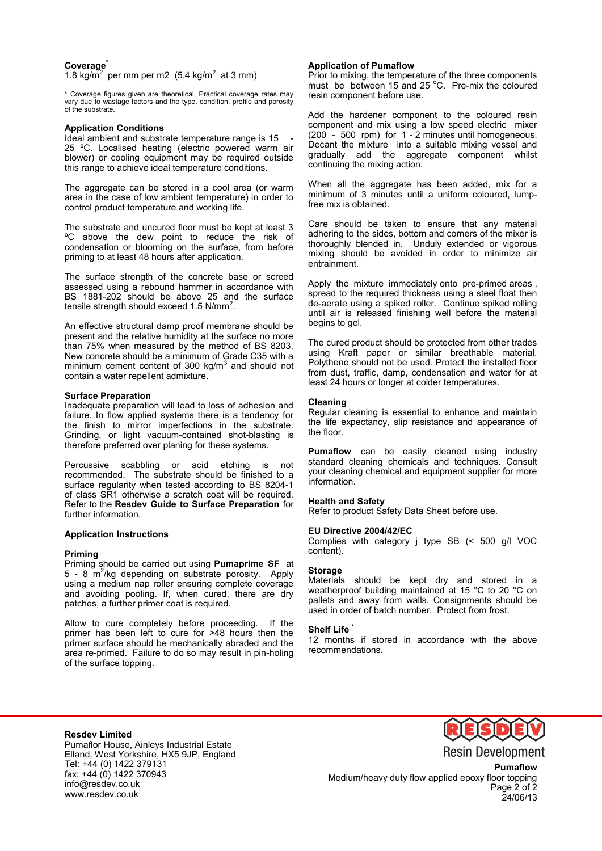#### **Coverage\***

1.8 kg/m<sup>2</sup> per mm per m2 (5.4 kg/m<sup>2</sup> at 3 mm)

\* Coverage figures given are theoretical. Practical coverage rates may vary due to wastage factors and the type, condition, profile and porosity of the substrate.

# **Application Conditions**

Ideal ambient and substrate temperature range is 15 25 ºC. Localised heating (electric powered warm air blower) or cooling equipment may be required outside this range to achieve ideal temperature conditions.

The aggregate can be stored in a cool area (or warm area in the case of low ambient temperature) in order to control product temperature and working life.

The substrate and uncured floor must be kept at least 3 ºC above the dew point to reduce the risk of condensation or blooming on the surface, from before priming to at least 48 hours after application.

The surface strength of the concrete base or screed assessed using a rebound hammer in accordance with BS 1881-202 should be above 25 and the surface tensile strength should exceed 1.5 N/mm $^2\!$ .

An effective structural damp proof membrane should be present and the relative humidity at the surface no more than 75% when measured by the method of BS 8203. New concrete should be a minimum of Grade C35 with a minimum cement content of 300 kg/m<sup>3</sup> and should not contain a water repellent admixture.

#### **Surface Preparation**

Inadequate preparation will lead to loss of adhesion and failure. In flow applied systems there is a tendency for the finish to mirror imperfections in the substrate. Grinding, or light vacuum-contained shot-blasting is therefore preferred over planing for these systems.

Percussive scabbling or acid etching is not recommended. The substrate should be finished to a surface regularity when tested according to BS 8204-1 of class SR1 otherwise a scratch coat will be required. Refer to the **Resdev Guide to Surface Preparation** for further information.

#### **Application Instructions**

## **Priming**

Priming should be carried out using **Pumaprime SF** at  $5 - 8$  m<sup>2</sup>/kg depending on substrate porosity. Apply using a medium nap roller ensuring complete coverage and avoiding pooling. If, when cured, there are dry patches, a further primer coat is required.

Allow to cure completely before proceeding. If the primer has been left to cure for >48 hours then the primer surface should be mechanically abraded and the area re-primed. Failure to do so may result in pin-holing of the surface topping.

#### **Application of Pumaflow**

Prior to mixing, the temperature of the three components must be between 15 and 25  $^{\circ}$ C. Pre-mix the coloured resin component before use.

Add the hardener component to the coloured resin component and mix using a low speed electric mixer (200 - 500 rpm) for 1 - 2 minutes until homogeneous. Decant the mixture into a suitable mixing vessel and gradually add the aggregate component whilst continuing the mixing action.

When all the aggregate has been added, mix for a minimum of 3 minutes until a uniform coloured, lumpfree mix is obtained.

Care should be taken to ensure that any material adhering to the sides, bottom and corners of the mixer is thoroughly blended in. Unduly extended or vigorous mixing should be avoided in order to minimize air entrainment.

Apply the mixture immediately onto pre-primed areas , spread to the required thickness using a steel float then de-aerate using a spiked roller. Continue spiked rolling until air is released finishing well before the material begins to gel.

The cured product should be protected from other trades using Kraft paper or similar breathable material. Polythene should not be used. Protect the installed floor from dust, traffic, damp, condensation and water for at least 24 hours or longer at colder temperatures.

#### **Cleaning**

Regular cleaning is essential to enhance and maintain the life expectancy, slip resistance and appearance of the floor.

**Pumaflow** can be easily cleaned using industry standard cleaning chemicals and techniques. Consult your cleaning chemical and equipment supplier for more information.

#### **Health and Safety**

Refer to product Safety Data Sheet before use.

#### **EU Directive 2004/42/EC**

Complies with category j type SB (< 500 g/l VOC content).

## **Storage**

Materials should be kept dry and stored in a weatherproof building maintained at 15 °C to 20 °C on pallets and away from walls. Consignments should be used in order of batch number. Protect from frost.

#### **Shelf Life \***

12 months if stored in accordance with the above recommendations.

#### **Resdev Limited**

Pumaflor House, Ainleys Industrial Estate Elland, West Yorkshire, HX5 9JP, England Tel: +44 (0) 1422 379131 fax: +44 (0) 1422 370943 info@resdev.co.uk www.resdev.co.uk



**Resin Development** 

**Pumaflow** Medium/heavy duty flow applied epoxy floor topping Page 2 of 2 24/06/13